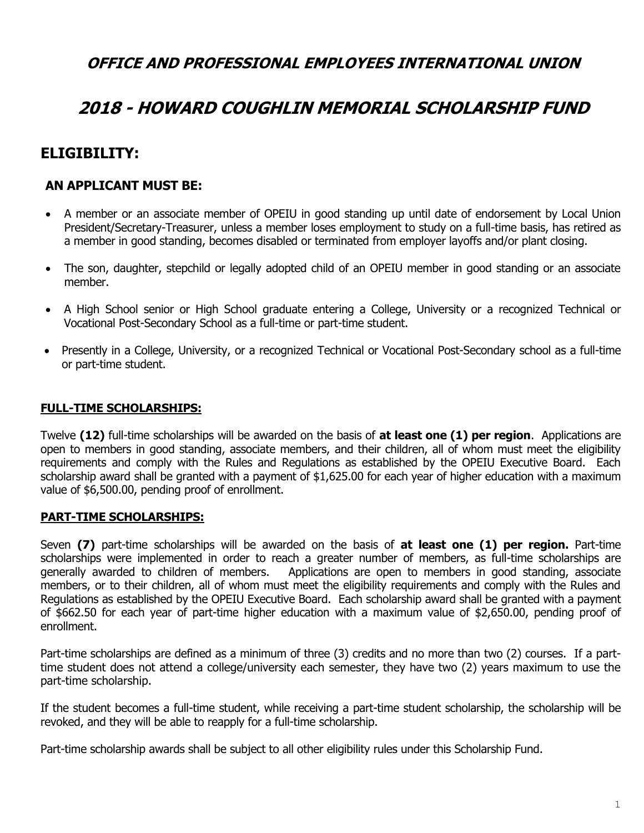## **OFFICE AND PROFESSIONAL EMPLOYEES INTERNATIONAL UNION**

# **2018 - HOWARD COUGHLIN MEMORIAL SCHOLARSHIP FUND**

# **ELIGIBILITY:**

#### **AN APPLICANT MUST BE:**

- A member or an associate member of OPEIU in good standing up until date of endorsement by Local Union President/Secretary-Treasurer, unless a member loses employment to study on a full-time basis, has retired as a member in good standing, becomes disabled or terminated from employer layoffs and/or plant closing.
- The son, daughter, stepchild or legally adopted child of an OPEIU member in good standing or an associate member.
- A High School senior or High School graduate entering a College, University or a recognized Technical or Vocational Post-Secondary School as a full-time or part-time student.
- Presently in a College, University, or a recognized Technical or Vocational Post-Secondary school as a full-time or part-time student.

#### **FULL-TIME SCHOLARSHIPS:**

Twelve **(12)** full-time scholarships will be awarded on the basis of **at least one (1) per region**. Applications are open to members in good standing, associate members, and their children, all of whom must meet the eligibility requirements and comply with the Rules and Regulations as established by the OPEIU Executive Board. Each scholarship award shall be granted with a payment of \$1,625.00 for each year of higher education with a maximum value of \$6,500.00, pending proof of enrollment.

#### **PART-TIME SCHOLARSHIPS:**

Seven **(7)** part-time scholarships will be awarded on the basis of **at least one (1) per region.** Part-time scholarships were implemented in order to reach a greater number of members, as full-time scholarships are generally awarded to children of members. Applications are open to members in good standing, associate members, or to their children, all of whom must meet the eligibility requirements and comply with the Rules and Regulations as established by the OPEIU Executive Board. Each scholarship award shall be granted with a payment of \$662.50 for each year of part-time higher education with a maximum value of \$2,650.00, pending proof of enrollment.

Part-time scholarships are defined as a minimum of three (3) credits and no more than two (2) courses. If a parttime student does not attend a college/university each semester, they have two (2) years maximum to use the part-time scholarship.

If the student becomes a full-time student, while receiving a part-time student scholarship, the scholarship will be revoked, and they will be able to reapply for a full-time scholarship.

Part-time scholarship awards shall be subject to all other eligibility rules under this Scholarship Fund.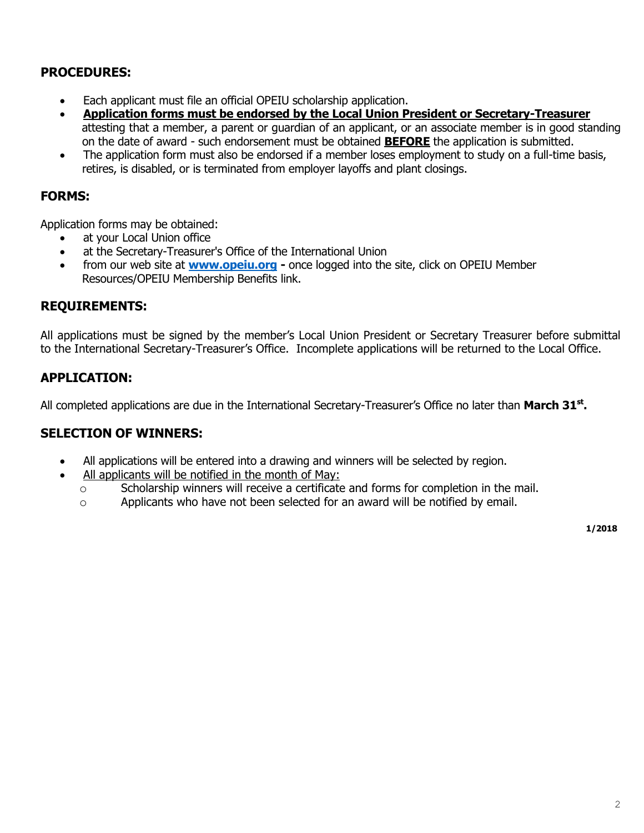### **PROCEDURES:**

- Each applicant must file an official OPEIU scholarship application.
- **Application forms must be endorsed by the Local Union President or Secretary-Treasurer** attesting that a member, a parent or guardian of an applicant, or an associate member is in good standing on the date of award - such endorsement must be obtained **BEFORE** the application is submitted.
- The application form must also be endorsed if a member loses employment to study on a full-time basis, retires, is disabled, or is terminated from employer layoffs and plant closings.

#### **FORMS:**

Application forms may be obtained:

- at your Local Union office
- at the Secretary-Treasurer's Office of the International Union
- from our web site at **[www.opeiu.org](http://www.opeiu.org/) -** once logged into the site, click on OPEIU Member Resources/OPEIU Membership Benefits link.

#### **REQUIREMENTS:**

All applications must be signed by the member's Local Union President or Secretary Treasurer before submittal to the International Secretary-Treasurer's Office. Incomplete applications will be returned to the Local Office.

### **APPLICATION:**

All completed applications are due in the International Secretary-Treasurer's Office no later than **March 31st .**

#### **SELECTION OF WINNERS:**

- All applications will be entered into a drawing and winners will be selected by region.
	- All applicants will be notified in the month of May:
		- o Scholarship winners will receive a certificate and forms for completion in the mail.
		- o Applicants who have not been selected for an award will be notified by email.

 **1/2018**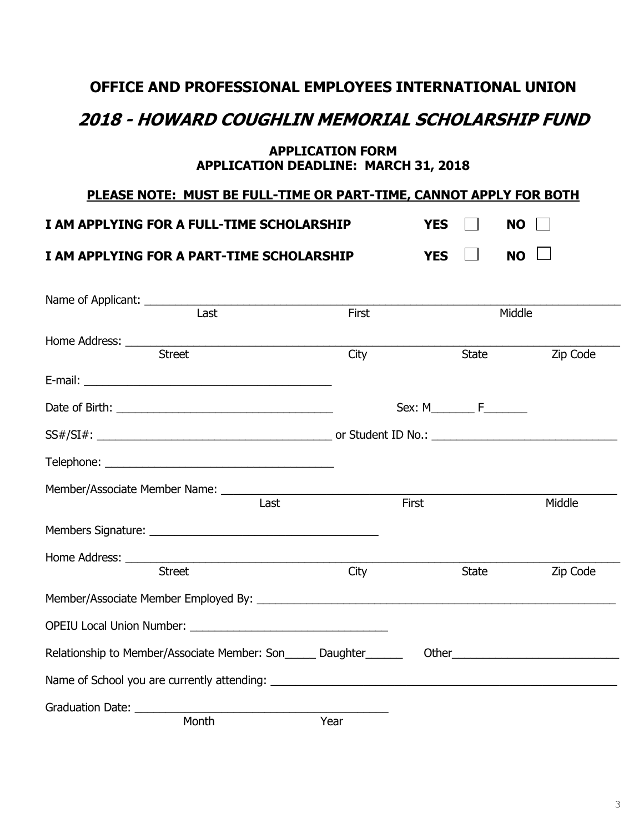| 2018 - HOWARD COUGHLIN MEMORIAL SCHOLARSHIP FUND                                                                                                                                                                                       |            |              |       |           |          |  |  |  |
|----------------------------------------------------------------------------------------------------------------------------------------------------------------------------------------------------------------------------------------|------------|--------------|-------|-----------|----------|--|--|--|
| <b>APPLICATION FORM</b><br><b>APPLICATION DEADLINE: MARCH 31, 2018</b>                                                                                                                                                                 |            |              |       |           |          |  |  |  |
| PLEASE NOTE: MUST BE FULL-TIME OR PART-TIME, CANNOT APPLY FOR BOTH                                                                                                                                                                     |            |              |       |           |          |  |  |  |
| I AM APPLYING FOR A FULL-TIME SCHOLARSHIP                                                                                                                                                                                              | <b>YES</b> | $\Box$       | NO    |           |          |  |  |  |
| I AM APPLYING FOR A PART-TIME SCHOLARSHIP                                                                                                                                                                                              |            | YES U        |       | $NO \Box$ |          |  |  |  |
| $\overline{Last}$                                                                                                                                                                                                                      | First      |              |       | Middle    |          |  |  |  |
|                                                                                                                                                                                                                                        |            |              |       |           |          |  |  |  |
| <b>Street</b>                                                                                                                                                                                                                          | City       |              | State |           | Zip Code |  |  |  |
|                                                                                                                                                                                                                                        |            | $Sex: M$ $F$ |       |           |          |  |  |  |
|                                                                                                                                                                                                                                        |            |              |       |           |          |  |  |  |
|                                                                                                                                                                                                                                        |            |              |       |           |          |  |  |  |
| Last                                                                                                                                                                                                                                   |            | First        |       |           | Middle   |  |  |  |
|                                                                                                                                                                                                                                        |            |              |       |           |          |  |  |  |
| Home Address: <u>Street</u> Street City State Zip Code                                                                                                                                                                                 |            |              |       |           |          |  |  |  |
|                                                                                                                                                                                                                                        |            |              |       |           |          |  |  |  |
|                                                                                                                                                                                                                                        |            |              |       |           |          |  |  |  |
| Relationship to Member/Associate Member: Son______ Daughter_________ Other__________________________                                                                                                                                   |            |              |       |           |          |  |  |  |
|                                                                                                                                                                                                                                        |            |              |       |           |          |  |  |  |
| Graduation Date: The Contract of the Contract of the Contract of the Contract of the Contract of the Contract of the Contract of the Contract of the Contract of the Contract of the Contract of the Contract of the Contract<br>Month | Year       |              |       |           |          |  |  |  |

**OFFICE AND PROFESSIONAL EMPLOYEES INTERNATIONAL UNION**